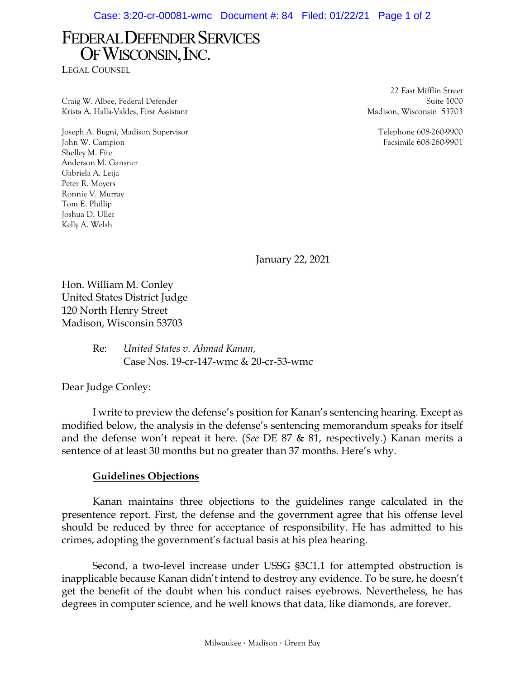## FEDERAL DEFENDER SERVICES OF WISCONSIN, INC.

LEGAL COUNSEL

Craig W. Albee, Federal Defender Suite 1000 Krista A. Halla-Valdes, First Assistant Madison, Wisconsin 53703

Joseph A. Bugni, Madison Supervisor Telephone 608-260-9900 John W. Campion Facsimile 608-260-9901 Shelley M. Fite Anderson M. Gansner Gabriela A. Leija Peter R. Moyers Ronnie V. Murray Tom E. Phillip Joshua D. Uller Kelly A. Welsh

22 East Mifflin Street

January 22, 2021

Hon. William M. Conley United States District Judge 120 North Henry Street Madison, Wisconsin 53703

> Re: *United States v. Ahmad Kanan,* Case Nos. 19-cr-147-wmc & 20-cr-53-wmc

Dear Judge Conley:

 I write to preview the defense's position for Kanan's sentencing hearing. Except as modified below, the analysis in the defense's sentencing memorandum speaks for itself and the defense won't repeat it here. (*See* DE 87 & 81, respectively.) Kanan merits a sentence of at least 30 months but no greater than 37 months. Here's why.

## **Guidelines Objections**

 Kanan maintains three objections to the guidelines range calculated in the presentence report. First, the defense and the government agree that his offense level should be reduced by three for acceptance of responsibility. He has admitted to his crimes, adopting the government's factual basis at his plea hearing.

 Second, a two-level increase under USSG §3C1.1 for attempted obstruction is inapplicable because Kanan didn't intend to destroy any evidence. To be sure, he doesn't get the benefit of the doubt when his conduct raises eyebrows. Nevertheless, he has degrees in computer science, and he well knows that data, like diamonds, are forever.